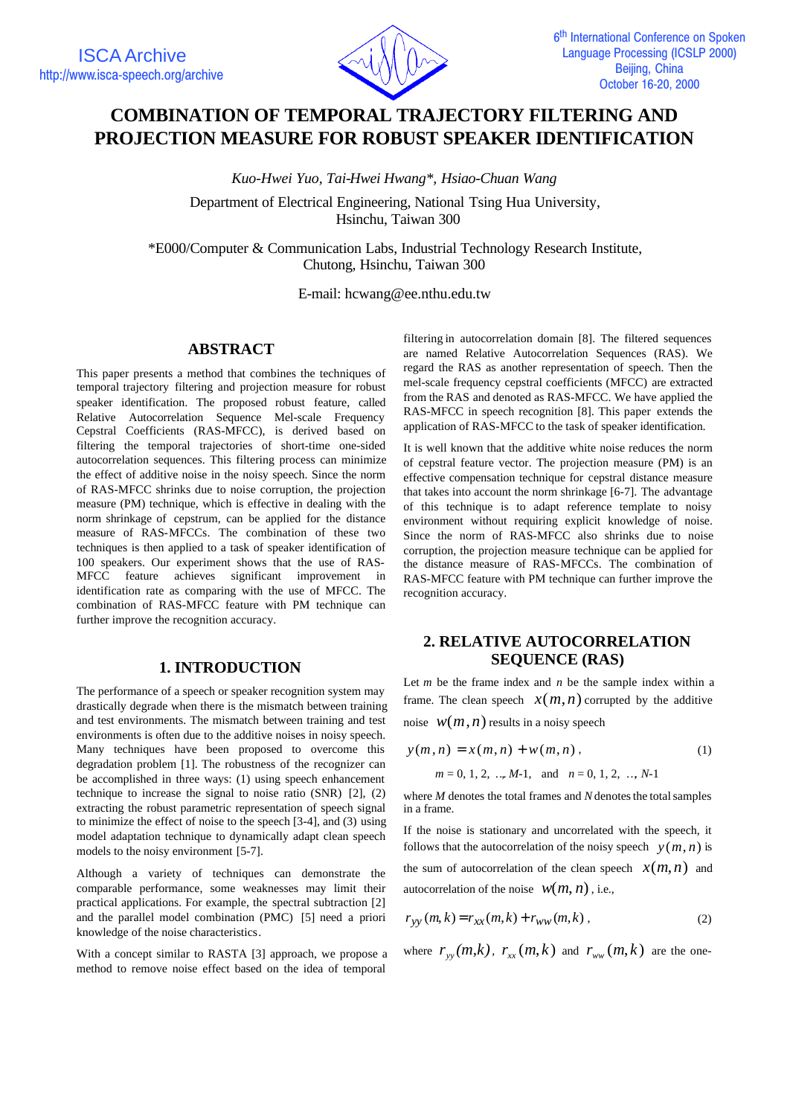

# **COMBINATION OF TEMPORAL TRAJECTORY FILTERING AND PROJECTION MEASURE FOR ROBUST SPEAKER IDENTIFICATION**

*Kuo-Hwei Yuo, Tai-Hwei Hwang\*, Hsiao-Chuan Wang*

Department of Electrical Engineering, National Tsing Hua University, Hsinchu, Taiwan 300

\*E000/Computer & Communication Labs, Industrial Technology Research Institute, Chutong, Hsinchu, Taiwan 300

E-mail: hcwang@ee.nthu.edu.tw

#### **ABSTRACT**

This paper presents a method that combines the techniques of temporal trajectory filtering and projection measure for robust speaker identification. The proposed robust feature, called Relative Autocorrelation Sequence Mel-scale Frequency Cepstral Coefficients (RAS-MFCC), is derived based on filtering the temporal trajectories of short-time one-sided autocorrelation sequences. This filtering process can minimize the effect of additive noise in the noisy speech. Since the norm of RAS-MFCC shrinks due to noise corruption, the projection measure (PM) technique, which is effective in dealing with the norm shrinkage of cepstrum, can be applied for the distance measure of RAS-MFCCs. The combination of these two techniques is then applied to a task of speaker identification of 100 speakers. Our experiment shows that the use of RAS-MFCC feature achieves significant improvement in identification rate as comparing with the use of MFCC. The combination of RAS-MFCC feature with PM technique can further improve the recognition accuracy.

## **1. INTRODUCTION**

The performance of a speech or speaker recognition system may drastically degrade when there is the mismatch between training and test environments. The mismatch between training and test environments is often due to the additive noises in noisy speech. Many techniques have been proposed to overcome this degradation problem [1]. The robustness of the recognizer can be accomplished in three ways: (1) using speech enhancement technique to increase the signal to noise ratio (SNR) [2], (2) extracting the robust parametric representation of speech signal to minimize the effect of noise to the speech [3-4], and (3) using model adaptation technique to dynamically adapt clean speech models to the noisy environment [5-7].

Although a variety of techniques can demonstrate the comparable performance, some weaknesses may limit their practical applications. For example, the spectral subtraction [2] and the parallel model combination (PMC) [5] need a priori knowledge of the noise characteristics.

With a concept similar to RASTA [3] approach, we propose a method to remove noise effect based on the idea of temporal

filtering in autocorrelation domain [8]. The filtered sequences are named Relative Autocorrelation Sequences (RAS). We regard the RAS as another representation of speech. Then the mel-scale frequency cepstral coefficients (MFCC) are extracted from the RAS and denoted as RAS-MFCC. We have applied the RAS-MFCC in speech recognition [8]. This paper extends the application of RAS-MFCC to the task of speaker identification.

It is well known that the additive white noise reduces the norm of cepstral feature vector. The projection measure (PM) is an effective compensation technique for cepstral distance measure that takes into account the norm shrinkage [6-7]. The advantage of this technique is to adapt reference template to noisy environment without requiring explicit knowledge of noise. Since the norm of RAS-MFCC also shrinks due to noise corruption, the projection measure technique can be applied for the distance measure of RAS-MFCCs. The combination of RAS-MFCC feature with PM technique can further improve the recognition accuracy.

## **2. RELATIVE AUTOCORRELATION SEQUENCE (RAS)**

Let *m* be the frame index and *n* be the sample index within a frame. The clean speech  $x(m, n)$  corrupted by the additive noise  $W(m, n)$  results in a noisy speech

$$
y(m, n) = x(m, n) + w(m, n),
$$
  
(1)  

$$
m = 0, 1, 2, ..., M-1, \text{ and } n = 0, 1, 2, ..., N-1
$$

where *M* denotes the total frames and *N* denotes the total samples in a frame.

If the noise is stationary and uncorrelated with the speech, it follows that the autocorrelation of the noisy speech  $y(m, n)$  is the sum of autocorrelation of the clean speech  $x(m, n)$  and autocorrelation of the noise  $W(m, n)$ , i.e.,

$$
r_{yy}(m,k) = r_{xx}(m,k) + r_{ww}(m,k) ,
$$
 (2)

where  $r_{\rm\scriptscriptstyle yy}(m,k)$ ,  $r_{\rm\scriptscriptstyle xx}(m,k)$  and  $r_{\rm\scriptscriptstyle WW}(m,k)$  are the one-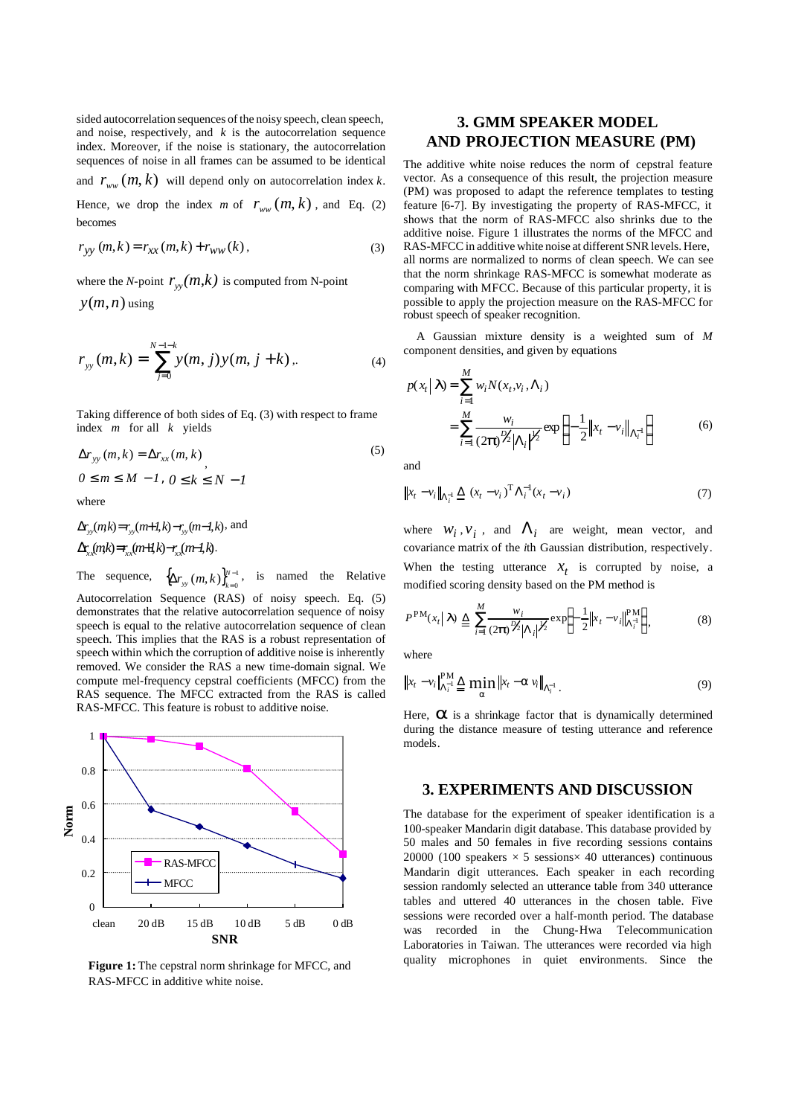sided autocorrelation sequences of the noisy speech, clean speech, and noise, respectively, and  $k$  is the autocorrelation sequence index. Moreover, if the noise is stationary, the autocorrelation sequences of noise in all frames can be assumed to be identical

and  $r_{ww}(m, k)$  will depend only on autocorrelation index k.

Hence, we drop the index *m* of  $r_{ww}(m, k)$ , and Eq. (2) becomes

$$
r_{yy}(m,k) = r_{xx}(m,k) + r_{ww}(k),
$$
\n(3)

where the *N*-point  $r_{yy}(m,k)$  is computed from N-point

 $y(m, n)$  using

$$
r_{yy}(m,k) = \sum_{j=0}^{N-1-k} y(m,j) y(m,j+k) \,.
$$
 (4)

Taking difference of both sides of Eq. (3) with respect to frame index *m* for all *k* yields

$$
\Delta r_{yy}(m,k) = \Delta r_{xx}(m,k),
$$
  
\n
$$
0 \le m \le M - 1, 0 \le k \le N - 1
$$
\n(5)

where

$$
\Delta r_{yy}(mk) = r_{yy}(m+1,k) - r_{yy}(m-1,k), \text{ and}
$$

$$
\Delta r_{xx}(mk) = r_{xx}(m+1,k) - r_{xx}(m-1,k).
$$

The sequence,  $\{\Delta r_{\rm uv}(m,k)\}_{k=0}^{N-1}$  $(m, k)\}_{k=0}^{N-1}$  $\Delta r_{\rm yy}\left(m, k\right)\bigr\}_{k=1}^{N}$  $r_{yy}(m,k)$ <sub> $k=0$ </sub> $k=1$ , is named the Relative Autocorrelation Sequence (RAS) of noisy speech. Eq. (5) demonstrates that the relative autocorrelation sequence of noisy speech is equal to the relative autocorrelation sequence of clean speech. This implies that the RAS is a robust representation of speech within which the corruption of additive noise is inherently removed. We consider the RAS a new time-domain signal. We compute mel-frequency cepstral coefficients (MFCC) from the RAS sequence. The MFCC extracted from the RAS is called RAS-MFCC. This feature is robust to additive noise.



**Figure 1:** The cepstral norm shrinkage for MFCC, and RAS-MFCC in additive white noise.

# **3. GMM SPEAKER MODEL AND PROJECTION MEASURE (PM)**

The additive white noise reduces the norm of cepstral feature vector. As a consequence of this result, the projection measure (PM) was proposed to adapt the reference templates to testing feature [6-7]. By investigating the property of RAS-MFCC, it shows that the norm of RAS-MFCC also shrinks due to the additive noise. Figure 1 illustrates the norms of the MFCC and RAS-MFCC in additive white noise at different SNR levels. Here, all norms are normalized to norms of clean speech. We can see that the norm shrinkage RAS-MFCC is somewhat moderate as comparing with MFCC. Because of this particular property, it is possible to apply the projection measure on the RAS-MFCC for robust speech of speaker recognition.

A Gaussian mixture density is a weighted sum of *M* component densities, and given by equations

$$
p(x_t | \mathbf{I}) = \sum_{i=1}^{M} w_i N(x_t, v_i, \Lambda_i)
$$
  
= 
$$
\sum_{i=1}^{M} \frac{w_i}{(2\mathbf{p})^{p_2} |\Lambda_i|^{p_2}} \exp \left\{-\frac{1}{2} ||x_t - v_i||_{\Lambda_i^{-1}}\right\}
$$
(6)

and

$$
\|x_t - v_i\|_{\Lambda_t^{-1}} \le (x_t - v_i)^{\mathrm{T}} \Lambda_t^{-1} (x_t - v_i)
$$
\n(7)

where  $W_i$ ,  $V_i$ , and  $\Lambda_i$  are weight, mean vector, and covariance matrix of the *i*th Gaussian distribution, respectively. When the testing utterance  $x_t$  is corrupted by noise, a

modified scoring density based on the PM method is

$$
P^{\text{PM}}(x_t | \mathbf{I}) \triangleq \sum_{i=1}^{M} \frac{w_i}{(2\boldsymbol{p})^{\frac{N_2}{2}} |\Lambda_i|^{\frac{N_2}{2}}} \exp\left\{-\frac{1}{2} \left\|x_t - v_i\right\|_{\Lambda_i^{-1}}^{\text{PM}}\right\},\tag{8}
$$

where

$$
\|x_t - v_i\|_{\Lambda_t^{-1}}^{\text{PM}} \stackrel{\Delta}{=} \min_a \|x_t - a v_i\|_{\Lambda_t^{-1}}.
$$
\n(9)

Here, **a** is a shrinkage factor that is dynamically determined during the distance measure of testing utterance and reference models.

#### **3. EXPERIMENTS AND DISCUSSION**

The database for the experiment of speaker identification is a 100-speaker Mandarin digit database. This database provided by 50 males and 50 females in five recording sessions contains 20000 (100 speakers  $\times$  5 sessions $\times$  40 utterances) continuous Mandarin digit utterances. Each speaker in each recording session randomly selected an utterance table from 340 utterance tables and uttered 40 utterances in the chosen table. Five sessions were recorded over a half-month period. The database was recorded in the Chung-Hwa Telecommunication Laboratories in Taiwan. The utterances were recorded via high quality microphones in quiet environments. Since the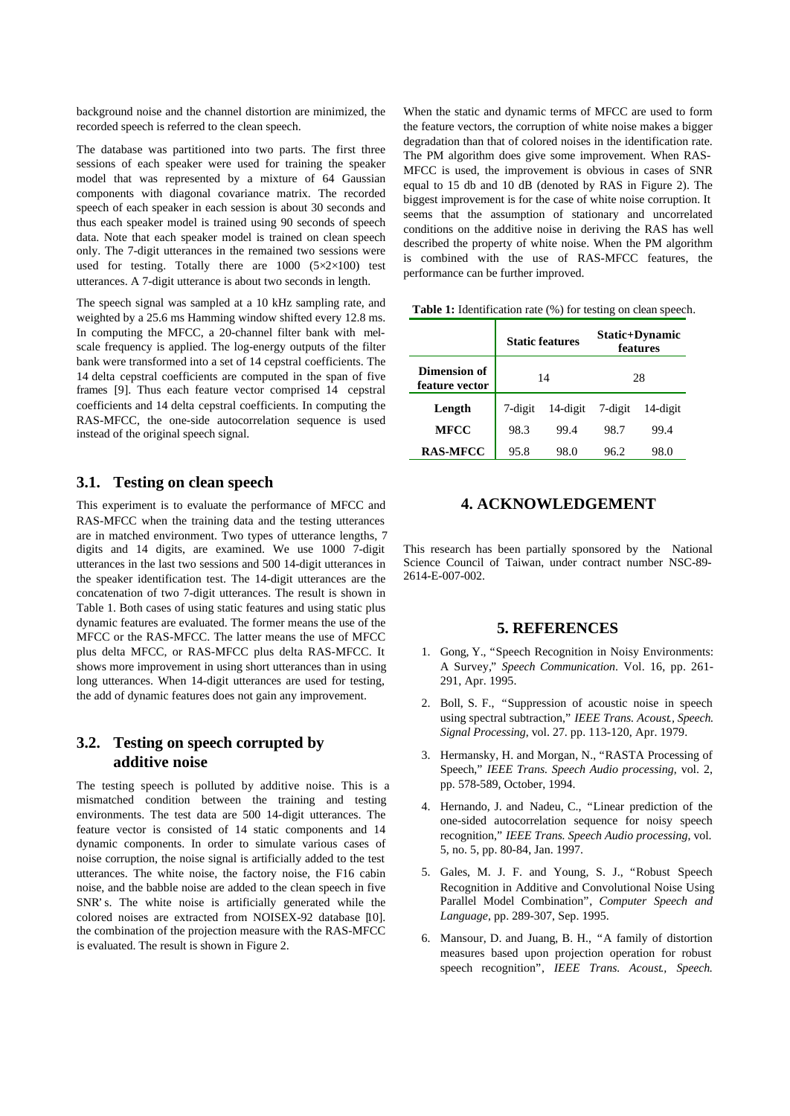background noise and the channel distortion are minimized, the recorded speech is referred to the clean speech.

The database was partitioned into two parts. The first three sessions of each speaker were used for training the speaker model that was represented by a mixture of 64 Gaussian components with diagonal covariance matrix. The recorded speech of each speaker in each session is about 30 seconds and thus each speaker model is trained using 90 seconds of speech data. Note that each speaker model is trained on clean speech only. The 7-digit utterances in the remained two sessions were used for testing. Totally there are  $1000$  ( $5 \times 2 \times 100$ ) test utterances. A 7-digit utterance is about two seconds in length.

The speech signal was sampled at a 10 kHz sampling rate, and weighted by a 25.6 ms Hamming window shifted every 12.8 ms. In computing the MFCC, a 20-channel filter bank with melscale frequency is applied. The log-energy outputs of the filter bank were transformed into a set of 14 cepstral coefficients. The 14 delta cepstral coefficients are computed in the span of five frames [9]. Thus each feature vector comprised 14 cepstral coefficients and 14 delta cepstral coefficients. In computing the RAS-MFCC, the one-side autocorrelation sequence is used instead of the original speech signal.

#### **3.1. Testing on clean speech**

This experiment is to evaluate the performance of MFCC and RAS-MFCC when the training data and the testing utterances are in matched environment. Two types of utterance lengths, 7 digits and 14 digits, are examined. We use 1000 7-digit utterances in the last two sessions and 500 14-digit utterances in the speaker identification test. The 14-digit utterances are the concatenation of two 7-digit utterances. The result is shown in Table 1. Both cases of using static features and using static plus dynamic features are evaluated. The former means the use of the MFCC or the RAS-MFCC. The latter means the use of MFCC plus delta MFCC, or RAS-MFCC plus delta RAS-MFCC. It shows more improvement in using short utterances than in using long utterances. When 14-digit utterances are used for testing, the add of dynamic features does not gain any improvement.

## **3.2. Testing on speech corrupted by additive noise**

The testing speech is polluted by additive noise. This is a mismatched condition between the training and testing environments. The test data are 500 14-digit utterances. The feature vector is consisted of 14 static components and 14 dynamic components. In order to simulate various cases of noise corruption, the noise signal is artificially added to the test utterances. The white noise, the factory noise, the F16 cabin noise, and the babble noise are added to the clean speech in five SNR's. The white noise is artificially generated while the colored noises are extracted from NOISEX-92 database [10]. the combination of the projection measure with the RAS-MFCC is evaluated. The result is shown in Figure 2.

When the static and dynamic terms of MFCC are used to form the feature vectors, the corruption of white noise makes a bigger degradation than that of colored noises in the identification rate. The PM algorithm does give some improvement. When RAS-MFCC is used, the improvement is obvious in cases of SNR equal to 15 db and 10 dB (denoted by RAS in Figure 2). The biggest improvement is for the case of white noise corruption. It seems that the assumption of stationary and uncorrelated conditions on the additive noise in deriving the RAS has well described the property of white noise. When the PM algorithm is combined with the use of RAS-MFCC features, the performance can be further improved.

**Table 1:** Identification rate (%) for testing on clean speech.

|                                       | <b>Static features</b> |          | Static+Dynamic<br>features |          |
|---------------------------------------|------------------------|----------|----------------------------|----------|
| <b>Dimension of</b><br>feature vector | 14                     |          | 28                         |          |
| Length                                | 7-digit                | 14-digit | 7-digit                    | 14-digit |
| <b>MFCC</b>                           | 98.3                   | 99.4     | 98.7                       | 99.4     |
| <b>RAS-MFCC</b>                       | 95.8                   | 98.0     | 96.2                       | 98.0     |

## **4. ACKNOWLEDGEMENT**

This research has been partially sponsored by the National Science Council of Taiwan, under contract number NSC-89- 2614-E-007-002.

#### **5. REFERENCES**

- 1. Gong, Y., "Speech Recognition in Noisy Environments: A Survey," *Speech Communication*. Vol. 16, pp. 261- 291, Apr. 1995.
- 2. Boll, S. F., "Suppression of acoustic noise in speech using spectral subtraction," *IEEE Trans. Acoust., Speech. Signal Processing*, vol. 27. pp. 113-120, Apr. 1979.
- 3. Hermansky, H. and Morgan, N., "RASTA Processing of Speech," *IEEE Trans. Speech Audio processing*, vol. 2, pp. 578-589, October, 1994.
- 4. Hernando, J. and Nadeu, C., "Linear prediction of the one-sided autocorrelation sequence for noisy speech recognition," *IEEE Trans. Speech Audio processing*, vol. 5, no. 5, pp. 80-84, Jan. 1997.
- 5. Gales, M. J. F. and Young, S. J., "Robust Speech Recognition in Additive and Convolutional Noise Using Parallel Model Combination", *Computer Speech and Language*, pp. 289-307, Sep. 1995.
- 6. Mansour, D. and Juang, B. H., "A family of distortion measures based upon projection operation for robust speech recognition", *IEEE Trans. Acoust., Speech.*